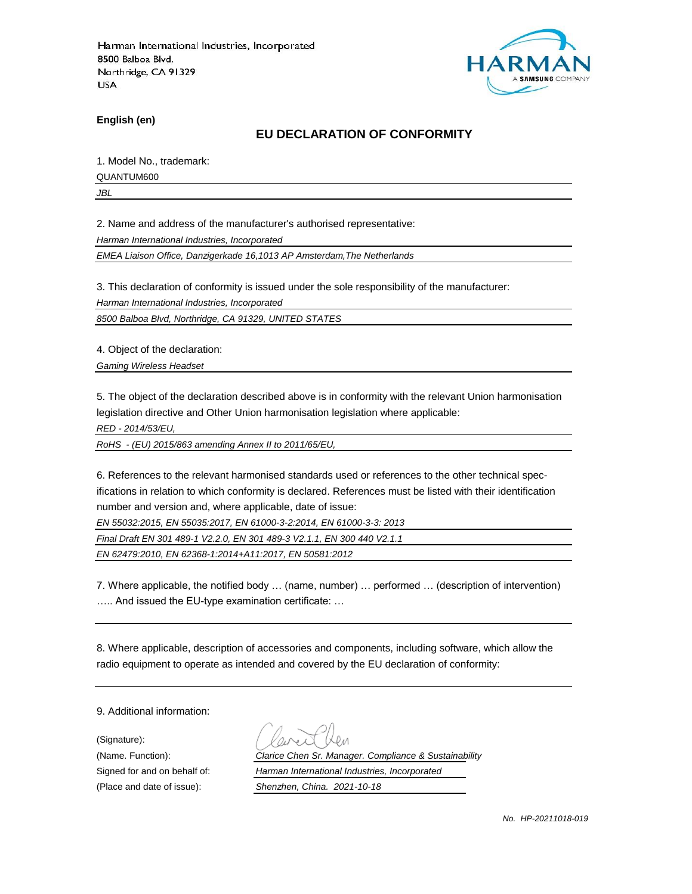

**English (en)**

### **EU DECLARATION OF CONFORMITY**

1. Model No., trademark:

QUANTUM600

*JBL*

2. Name and address of the manufacturer's authorised representative:

*Harman International Industries, Incorporated*

*EMEA Liaison Office, Danzigerkade 16,1013 AP Amsterdam,The Netherlands*

3. This declaration of conformity is issued under the sole responsibility of the manufacturer:

*Harman International Industries, Incorporated*

*8500 Balboa Blvd, Northridge, CA 91329, UNITED STATES*

4. Object of the declaration:

*Gaming Wireless Headset*

5. The object of the declaration described above is in conformity with the relevant Union harmonisation legislation directive and Other Union harmonisation legislation where applicable:

*RED - 2014/53/EU,*

*RoHS - (EU) 2015/863 amending Annex II to 2011/65/EU,*

6. References to the relevant harmonised standards used or references to the other technical specifications in relation to which conformity is declared. References must be listed with their identification number and version and, where applicable, date of issue:

*EN 55032:2015, EN 55035:2017, EN 61000-3-2:2014, EN 61000-3-3: 2013*

*Final Draft EN 301 489-1 V2.2.0, EN 301 489-3 V2.1.1, EN 300 440 V2.1.1*

*EN 62479:2010, EN 62368-1:2014+A11:2017, EN 50581:2012*

7. Where applicable, the notified body … (name, number) … performed … (description of intervention) ….. And issued the EU-type examination certificate: …

8. Where applicable, description of accessories and components, including software, which allow the radio equipment to operate as intended and covered by the EU declaration of conformity:

9. Additional information:

(Signature):

(Name. Function): *Clarice Chen Sr. Manager. Compliance & Sustainability* Signed for and on behalf of: *Harman International Industries, Incorporated*

(Place and date of issue): *Shenzhen, China. 2021-10-18*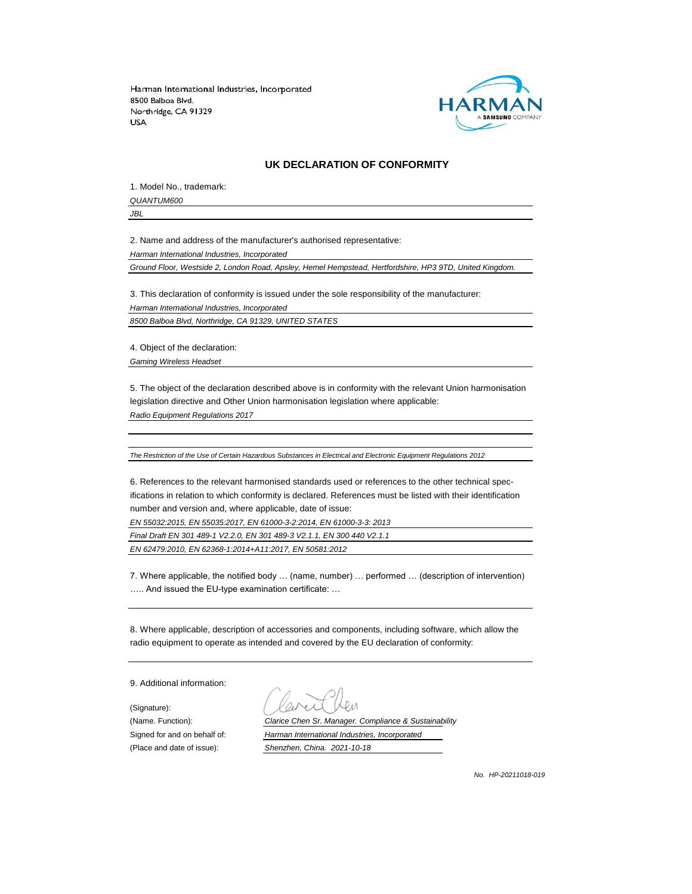

#### **UK DECLARATION OF CONFORMITY**

1. Model No., trademark: *QUANTUM600*

*JBL*

2. Name and address of the manufacturer's authorised representative:

*Harman International Industries, Incorporated*

*Ground Floor, Westside 2, London Road, Apsley, Hemel Hempstead, Hertfordshire, HP3 9TD, United Kingdom.*

3. This declaration of conformity is issued under the sole responsibility of the manufacturer: *Harman International Industries, Incorporated 8500 Balboa Blvd, Northridge, CA 91329, UNITED STATES*

4. Object of the declaration:

*Gaming Wireless Headset*

5. The object of the declaration described above is in conformity with the relevant Union harmonisation legislation directive and Other Union harmonisation legislation where applicable:

*Radio Equipment Regulations 2017*

*The Restriction of the Use of Certain Hazardous Substances in Electrical and Electronic Equipment Regulations 2012*

6. References to the relevant harmonised standards used or references to the other technical specifications in relation to which conformity is declared. References must be listed with their identification number and version and, where applicable, date of issue:

*EN 55032:2015, EN 55035:2017, EN 61000-3-2:2014, EN 61000-3-3: 2013*

*Final Draft EN 301 489-1 V2.2.0, EN 301 489-3 V2.1.1, EN 300 440 V2.1.1 EN 62479:2010, EN 62368-1:2014+A11:2017, EN 50581:2012*

7. Where applicable, the notified body … (name, number) … performed … (description of intervention) ….. And issued the EU-type examination certificate: …

8. Where applicable, description of accessories and components, including software, which allow the radio equipment to operate as intended and covered by the EU declaration of conformity:

9. Additional information:

(Signature):

(Name. Function): *Clarice Chen Sr. Manager. Compliance & Sustainability* Signed for and on behalf of: *Harman International Industries, Incorporated* (Place and date of issue): *Shenzhen, China. 2021-10-18*

*No. HP-20211018-019*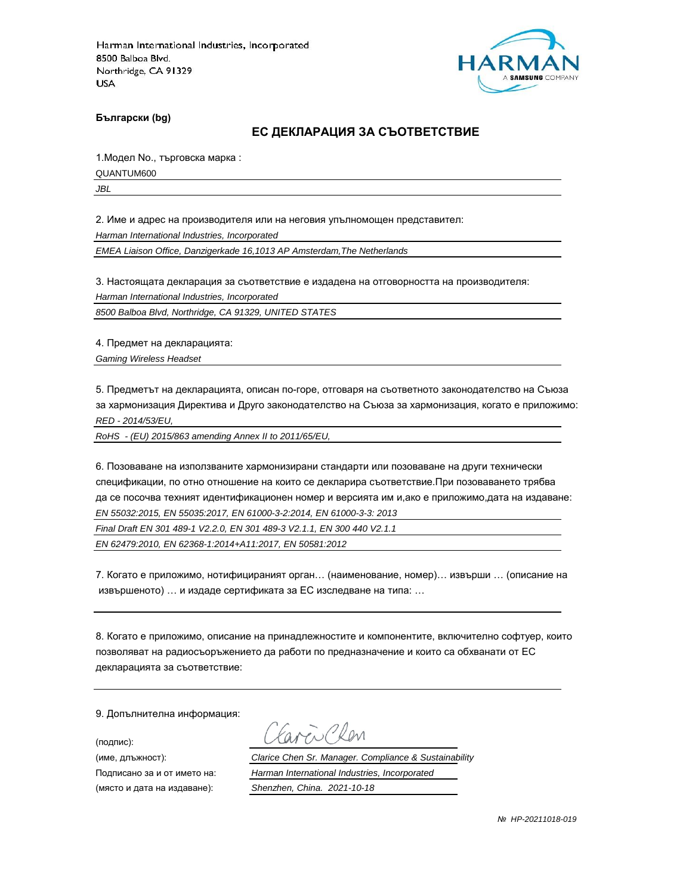

**Български (bg)**

#### **ЕС ДЕКЛАРАЦИЯ ЗА СЪОТВЕТСТВИЕ**

1.Модел No., търговска марка :

QUANTUM600

*JBL*

2. Име и адрес на производителя или на неговия упълномощен представител:

*Harman International Industries, Incorporated*

*EMEA Liaison Office, Danzigerkade 16,1013 AP Amsterdam,The Netherlands*

3. Настоящата декларация за съответствие е издадена на отговорността на производителя:

*Harman International Industries, Incorporated*

*8500 Balboa Blvd, Northridge, CA 91329, UNITED STATES*

4. Предмет на декларацията:

*Gaming Wireless Headset*

5. Предметът на декларацията, описан по-горе, отговаря на съответното законодателство на Съюза за хармонизация Директива и Друго законодателство на Съюза за хармонизация, когато е приложимо: *RED - 2014/53/EU,*

*RoHS - (EU) 2015/863 amending Annex II to 2011/65/EU,*

6. Позоваване на използваните хармонизирани стандарти или позоваване на други технически спецификации, по отно отношение на които се декларира съответствие.При позоваването трябва да се посочва техният идентификационен номер и версията им и,ако е приложимо,дата на издаване: *EN 55032:2015, EN 55035:2017, EN 61000-3-2:2014, EN 61000-3-3: 2013*

*Final Draft EN 301 489-1 V2.2.0, EN 301 489-3 V2.1.1, EN 300 440 V2.1.1*

*EN 62479:2010, EN 62368-1:2014+A11:2017, EN 50581:2012*

7. Когато е приложимо, нотифицираният орган… (наименование, номер)… извърши … (описание на извършеното) … и издаде сертификата за ЕС изследване на типа: …

8. Когато е приложимо, описание на принадлежностите и компонентите, включително софтуер, които позволяват на радиосъоръжението да работи по предназначение и които са обхванати от ЕС декларацията за съответствие:

9. Допълнителна информация:

(подпис):

(място и дата на издаване): *Shenzhen, China. 2021-10-18*

aven Clen

(име, длъжност): *Clarice Chen Sr. Manager. Compliance & Sustainability*

Подписано за и от името на: *Harman International Industries, Incorporated*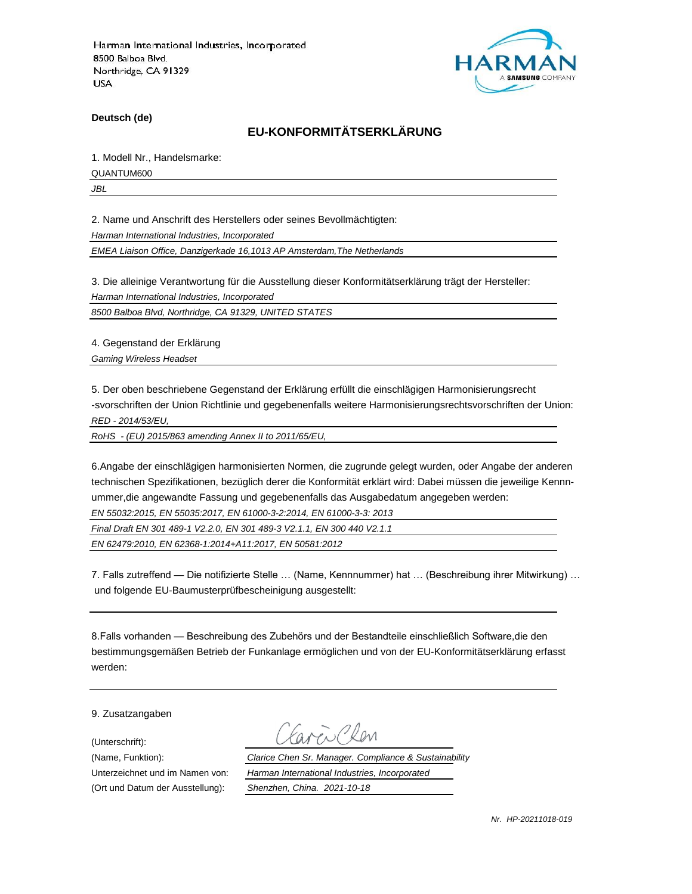

**Deutsch (de)**

## **EU-KONFORMITÄTSERKLÄRUNG**

1. Modell Nr., Handelsmarke:

QUANTUM600

*JBL*

2. Name und Anschrift des Herstellers oder seines Bevollmächtigten:

*Harman International Industries, Incorporated*

*EMEA Liaison Office, Danzigerkade 16,1013 AP Amsterdam,The Netherlands*

3. Die alleinige Verantwortung für die Ausstellung dieser Konformitätserklärung trägt der Hersteller:

*Harman International Industries, Incorporated*

*8500 Balboa Blvd, Northridge, CA 91329, UNITED STATES*

4. Gegenstand der Erklärung

*Gaming Wireless Headset*

5. Der oben beschriebene Gegenstand der Erklärung erfüllt die einschlägigen Harmonisierungsrecht -svorschriften der Union Richtlinie und gegebenenfalls weitere Harmonisierungsrechtsvorschriften der Union: *RED - 2014/53/EU,*

*RoHS - (EU) 2015/863 amending Annex II to 2011/65/EU,*

6.Angabe der einschlägigen harmonisierten Normen, die zugrunde gelegt wurden, oder Angabe der anderen technischen Spezifikationen, bezüglich derer die Konformität erklärt wird: Dabei müssen die jeweilige Kennnummer,die angewandte Fassung und gegebenenfalls das Ausgabedatum angegeben werden:

*EN 55032:2015, EN 55035:2017, EN 61000-3-2:2014, EN 61000-3-3: 2013*

*Final Draft EN 301 489-1 V2.2.0, EN 301 489-3 V2.1.1, EN 300 440 V2.1.1*

*EN 62479:2010, EN 62368-1:2014+A11:2017, EN 50581:2012*

7. Falls zutreffend — Die notifizierte Stelle … (Name, Kennnummer) hat … (Beschreibung ihrer Mitwirkung) … und folgende EU-Baumusterprüfbescheinigung ausgestellt:

8.Falls vorhanden — Beschreibung des Zubehörs und der Bestandteile einschließlich Software,die den bestimmungsgemäßen Betrieb der Funkanlage ermöglichen und von der EU-Konformitätserklärung erfasst werden:

9. Zusatzangaben

(Unterschrift):

(Name, Funktion): *Clarice Chen Sr. Manager. Compliance & Sustainability* Unterzeichnet und im Namen von: *Harman International Industries, Incorporated* (Ort und Datum der Ausstellung): *Shenzhen, China. 2021-10-18*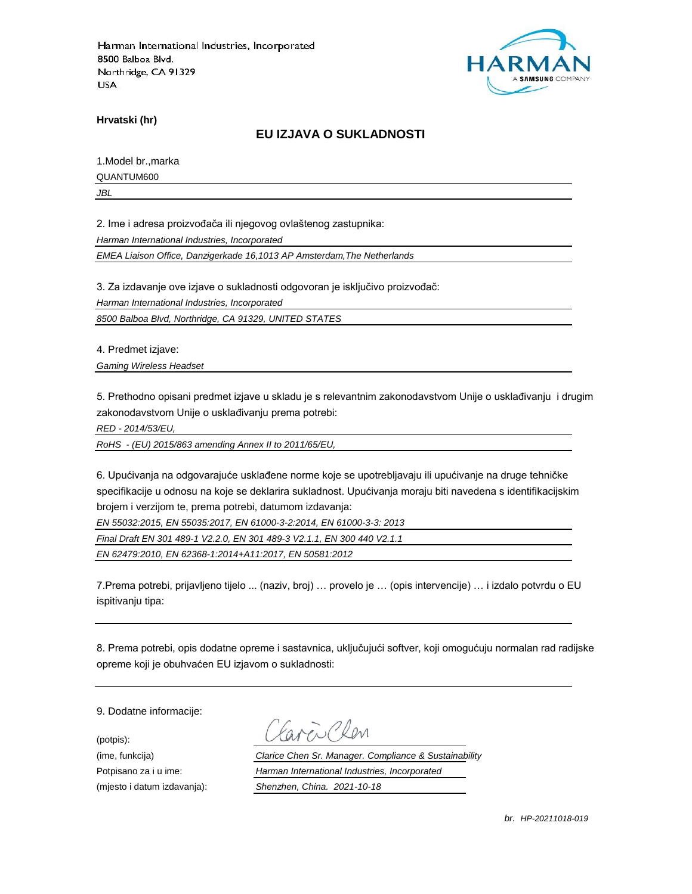

**Hrvatski (hr)**

### **EU IZJAVA O SUKLADNOSTI**

1.Model br.,marka

QUANTUM600

*JBL*

2. Ime i adresa proizvođača ili njegovog ovlaštenog zastupnika:

*Harman International Industries, Incorporated*

*EMEA Liaison Office, Danzigerkade 16,1013 AP Amsterdam,The Netherlands*

3. Za izdavanje ove izjave o sukladnosti odgovoran je isključivo proizvođač:

*Harman International Industries, Incorporated*

*8500 Balboa Blvd, Northridge, CA 91329, UNITED STATES*

4. Predmet izjave:

*Gaming Wireless Headset*

5. Prethodno opisani predmet izjave u skladu je s relevantnim zakonodavstvom Unije o usklađivanju i drugim zakonodavstvom Unije o usklađivanju prema potrebi:

*RED - 2014/53/EU,*

*RoHS - (EU) 2015/863 amending Annex II to 2011/65/EU,*

6. Upućivanja na odgovarajuće usklađene norme koje se upotrebljavaju ili upućivanje na druge tehničke specifikacije u odnosu na koje se deklarira sukladnost. Upućivanja moraju biti navedena s identifikacijskim brojem i verzijom te, prema potrebi, datumom izdavanja:

*EN 55032:2015, EN 55035:2017, EN 61000-3-2:2014, EN 61000-3-3: 2013*

*Final Draft EN 301 489-1 V2.2.0, EN 301 489-3 V2.1.1, EN 300 440 V2.1.1*

*EN 62479:2010, EN 62368-1:2014+A11:2017, EN 50581:2012*

7.Prema potrebi, prijavljeno tijelo ... (naziv, broj) … provelo je … (opis intervencije) … i izdalo potvrdu o EU ispitivanju tipa:

8. Prema potrebi, opis dodatne opreme i sastavnica, uključujući softver, koji omogućuju normalan rad radijske opreme koji je obuhvaćen EU izjavom o sukladnosti:

9. Dodatne informacije:

(potpis):

(ime, funkcija) *Clarice Chen Sr. Manager. Compliance & Sustainability* Potpisano za i u ime: *Harman International Industries, Incorporated* (mjesto i datum izdavanja): *Shenzhen, China. 2021-10-18*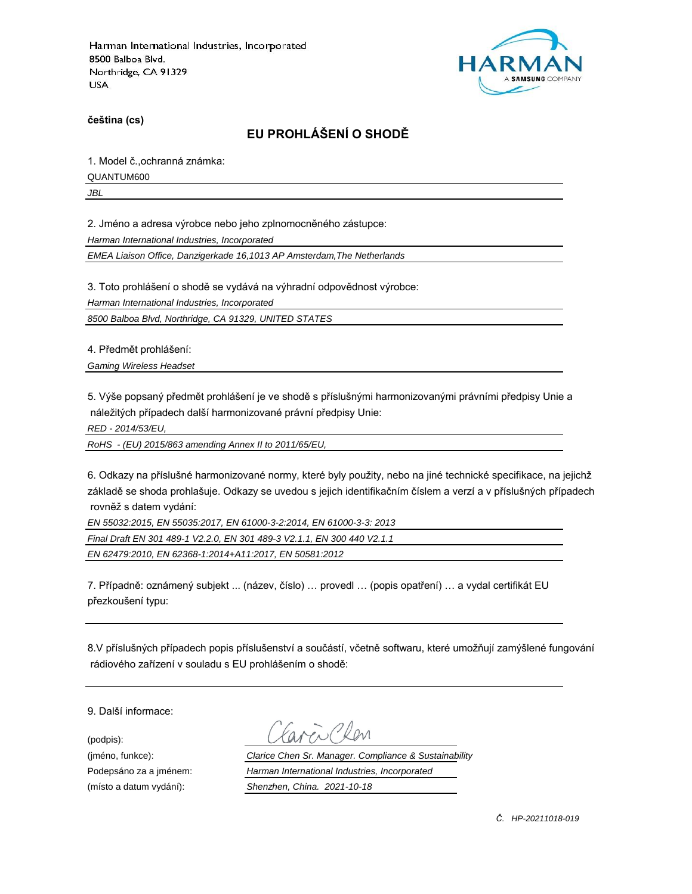

**čeština (cs)**

# **EU PROHLÁŠENÍ O SHODĚ**

1. Model č.,ochranná známka:

QUANTUM600

*JBL*

2. Jméno a adresa výrobce nebo jeho zplnomocněného zástupce:

*Harman International Industries, Incorporated*

*EMEA Liaison Office, Danzigerkade 16,1013 AP Amsterdam,The Netherlands*

3. Toto prohlášení o shodě se vydává na výhradní odpovědnost výrobce:

*Harman International Industries, Incorporated*

*8500 Balboa Blvd, Northridge, CA 91329, UNITED STATES*

4. Předmět prohlášení:

*Gaming Wireless Headset*

5. Výše popsaný předmět prohlášení je ve shodě s příslušnými harmonizovanými právními předpisy Unie a náležitých případech další harmonizované právní předpisy Unie:

*RED - 2014/53/EU,*

*RoHS - (EU) 2015/863 amending Annex II to 2011/65/EU,*

6. Odkazy na příslušné harmonizované normy, které byly použity, nebo na jiné technické specifikace, na jejichž základě se shoda prohlašuje. Odkazy se uvedou s jejich identifikačním číslem a verzí a v příslušných případech rovněž s datem vydání:

*EN 55032:2015, EN 55035:2017, EN 61000-3-2:2014, EN 61000-3-3: 2013*

*Final Draft EN 301 489-1 V2.2.0, EN 301 489-3 V2.1.1, EN 300 440 V2.1.1*

*EN 62479:2010, EN 62368-1:2014+A11:2017, EN 50581:2012*

7. Případně: oznámený subjekt ... (název, číslo) … provedl … (popis opatření) … a vydal certifikát EU přezkoušení typu:

8.V příslušných případech popis příslušenství a součástí, včetně softwaru, které umožňují zamýšlené fungování rádiového zařízení v souladu s EU prohlášením o shodě:

9. Další informace:

(podpis):

(jméno, funkce): *Clarice Chen Sr. Manager. Compliance & Sustainability* Podepsáno za a jménem: *Harman International Industries, Incorporated* (místo a datum vydání): *Shenzhen, China. 2021-10-18*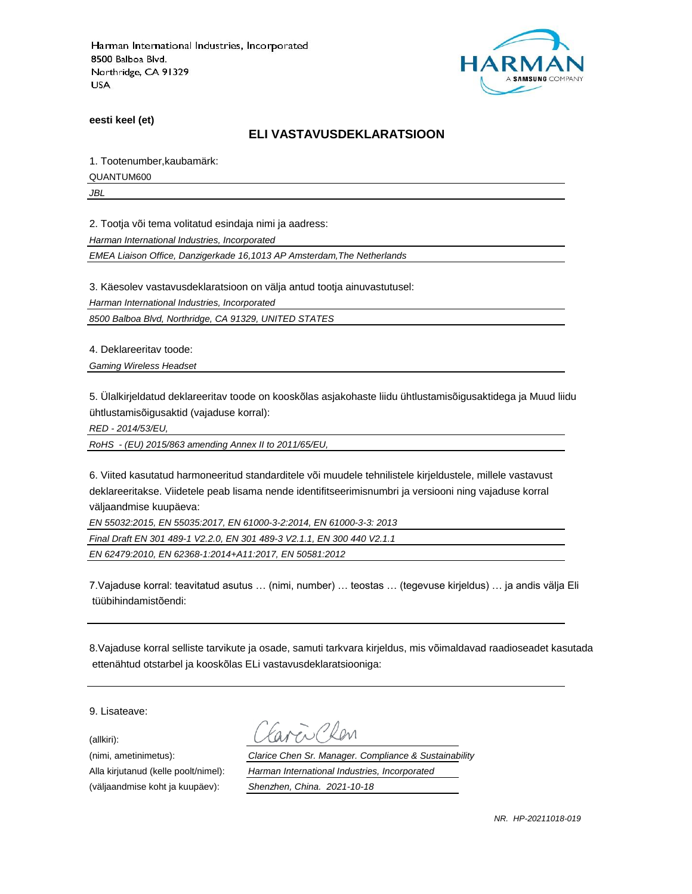

**eesti keel (et)**

#### **ELI VASTAVUSDEKLARATSIOON**

1. Tootenumber,kaubamärk:

QUANTUM600

*JBL*

2. Tootja või tema volitatud esindaja nimi ja aadress:

*Harman International Industries, Incorporated*

*EMEA Liaison Office, Danzigerkade 16,1013 AP Amsterdam,The Netherlands*

3. Käesolev vastavusdeklaratsioon on välja antud tootja ainuvastutusel:

*Harman International Industries, Incorporated*

*8500 Balboa Blvd, Northridge, CA 91329, UNITED STATES*

4. Deklareeritav toode:

*Gaming Wireless Headset*

5. Ülalkirjeldatud deklareeritav toode on kooskõlas asjakohaste liidu ühtlustamisõigusaktidega ja Muud liidu ühtlustamisõigusaktid (vajaduse korral):

*RED - 2014/53/EU,*

*RoHS - (EU) 2015/863 amending Annex II to 2011/65/EU,*

6. Viited kasutatud harmoneeritud standarditele või muudele tehnilistele kirjeldustele, millele vastavust deklareeritakse. Viidetele peab lisama nende identifitseerimisnumbri ja versiooni ning vajaduse korral väljaandmise kuupäeva:

*EN 55032:2015, EN 55035:2017, EN 61000-3-2:2014, EN 61000-3-3: 2013*

*Final Draft EN 301 489-1 V2.2.0, EN 301 489-3 V2.1.1, EN 300 440 V2.1.1*

*EN 62479:2010, EN 62368-1:2014+A11:2017, EN 50581:2012*

7.Vajaduse korral: teavitatud asutus … (nimi, number) … teostas … (tegevuse kirjeldus) … ja andis välja Eli tüübihindamistõendi:

8.Vajaduse korral selliste tarvikute ja osade, samuti tarkvara kirjeldus, mis võimaldavad raadioseadet kasutada ettenähtud otstarbel ja kooskõlas ELi vastavusdeklaratsiooniga:

9. Lisateave:

(allkiri):

(nimi, ametinimetus): *Clarice Chen Sr. Manager. Compliance & Sustainability* Alla kirjutanud (kelle poolt/nimel): *Harman International Industries, Incorporated* (väljaandmise koht ja kuupäev): *Shenzhen, China. 2021-10-18*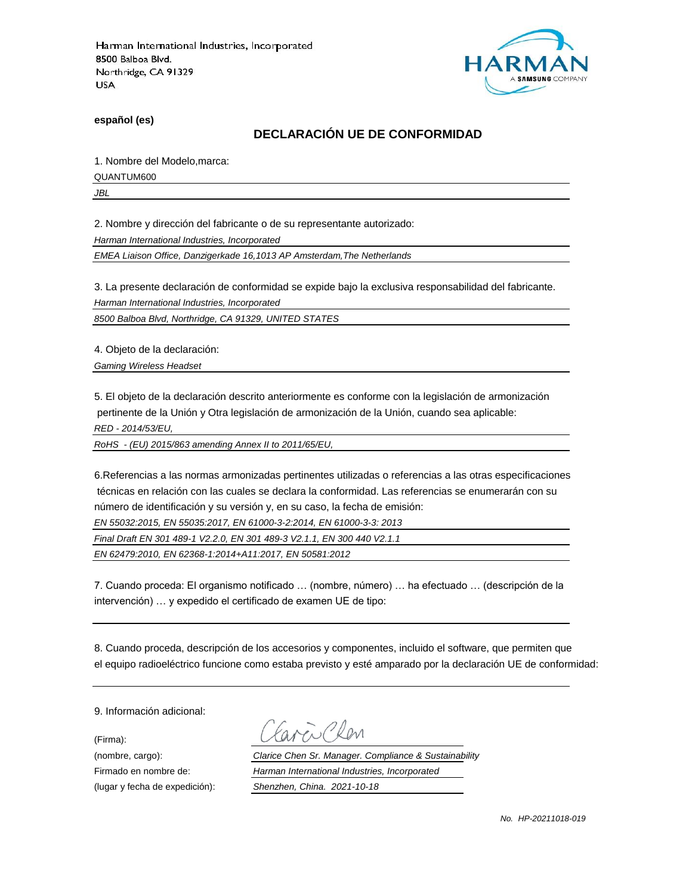

**español (es)**

## **DECLARACIÓN UE DE CONFORMIDAD**

1. Nombre del Modelo,marca:

QUANTUM600

*JBL*

2. Nombre y dirección del fabricante o de su representante autorizado:

*Harman International Industries, Incorporated*

*EMEA Liaison Office, Danzigerkade 16,1013 AP Amsterdam,The Netherlands*

3. La presente declaración de conformidad se expide bajo la exclusiva responsabilidad del fabricante.

*Harman International Industries, Incorporated*

*8500 Balboa Blvd, Northridge, CA 91329, UNITED STATES*

4. Objeto de la declaración:

*Gaming Wireless Headset*

5. El objeto de la declaración descrito anteriormente es conforme con la legislación de armonización pertinente de la Unión y Otra legislación de armonización de la Unión, cuando sea aplicable:

*RED - 2014/53/EU,*

*RoHS - (EU) 2015/863 amending Annex II to 2011/65/EU,*

6.Referencias a las normas armonizadas pertinentes utilizadas o referencias a las otras especificaciones técnicas en relación con las cuales se declara la conformidad. Las referencias se enumerarán con su número de identificación y su versión y, en su caso, la fecha de emisión:

*EN 55032:2015, EN 55035:2017, EN 61000-3-2:2014, EN 61000-3-3: 2013*

*Final Draft EN 301 489-1 V2.2.0, EN 301 489-3 V2.1.1, EN 300 440 V2.1.1*

*EN 62479:2010, EN 62368-1:2014+A11:2017, EN 50581:2012*

7. Cuando proceda: El organismo notificado … (nombre, número) … ha efectuado … (descripción de la intervención) … y expedido el certificado de examen UE de tipo:

8. Cuando proceda, descripción de los accesorios y componentes, incluido el software, que permiten que el equipo radioeléctrico funcione como estaba previsto y esté amparado por la declaración UE de conformidad:

9. Información adicional:

(Firma):

Clen

(nombre, cargo): *Clarice Chen Sr. Manager. Compliance & Sustainability* Firmado en nombre de: *Harman International Industries, Incorporated* (lugar y fecha de expedición): *Shenzhen, China. 2021-10-18*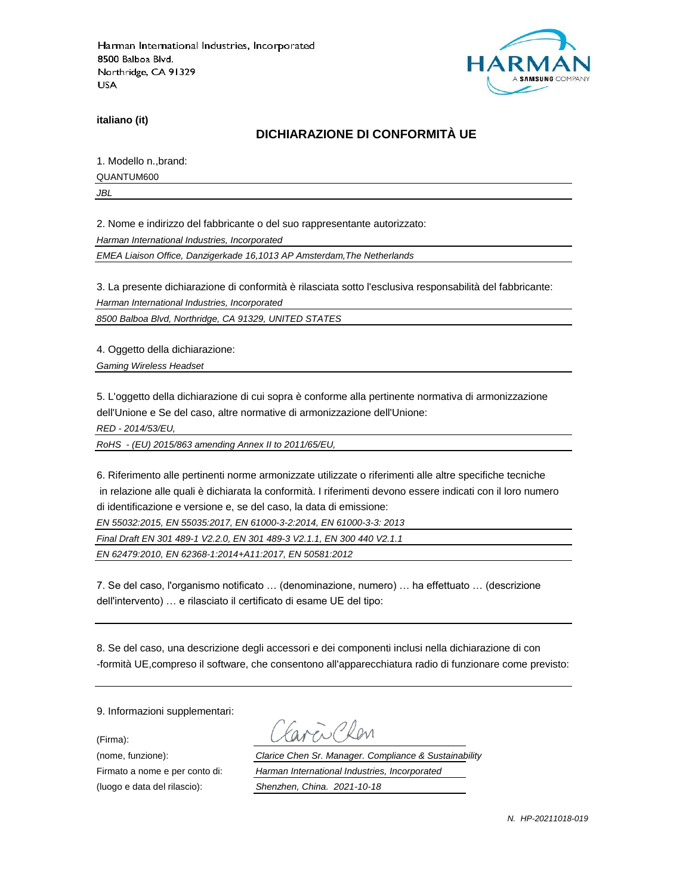

**italiano (it)**

## **DICHIARAZIONE DI CONFORMITÀ UE**

1. Modello n.,brand:

QUANTUM600

*JBL*

2. Nome e indirizzo del fabbricante o del suo rappresentante autorizzato:

*Harman International Industries, Incorporated*

*EMEA Liaison Office, Danzigerkade 16,1013 AP Amsterdam,The Netherlands*

3. La presente dichiarazione di conformità è rilasciata sotto l'esclusiva responsabilità del fabbricante:

*Harman International Industries, Incorporated*

*8500 Balboa Blvd, Northridge, CA 91329, UNITED STATES*

4. Oggetto della dichiarazione:

*Gaming Wireless Headset*

5. L'oggetto della dichiarazione di cui sopra è conforme alla pertinente normativa di armonizzazione dell'Unione e Se del caso, altre normative di armonizzazione dell'Unione:

*RED - 2014/53/EU,*

*RoHS - (EU) 2015/863 amending Annex II to 2011/65/EU,*

6. Riferimento alle pertinenti norme armonizzate utilizzate o riferimenti alle altre specifiche tecniche in relazione alle quali è dichiarata la conformità. I riferimenti devono essere indicati con il loro numero di identificazione e versione e, se del caso, la data di emissione:

*EN 55032:2015, EN 55035:2017, EN 61000-3-2:2014, EN 61000-3-3: 2013*

*Final Draft EN 301 489-1 V2.2.0, EN 301 489-3 V2.1.1, EN 300 440 V2.1.1*

*EN 62479:2010, EN 62368-1:2014+A11:2017, EN 50581:2012*

7. Se del caso, l'organismo notificato … (denominazione, numero) … ha effettuato … (descrizione dell'intervento) … e rilasciato il certificato di esame UE del tipo:

8. Se del caso, una descrizione degli accessori e dei componenti inclusi nella dichiarazione di con -formità UE,compreso il software, che consentono all'apparecchiatura radio di funzionare come previsto:

9. Informazioni supplementari:

(Firma):

(luogo e data del rilascio): *Shenzhen, China. 2021-10-18*

i Clan

(nome, funzione): *Clarice Chen Sr. Manager. Compliance & Sustainability* Firmato a nome e per conto di: *Harman International Industries, Incorporated*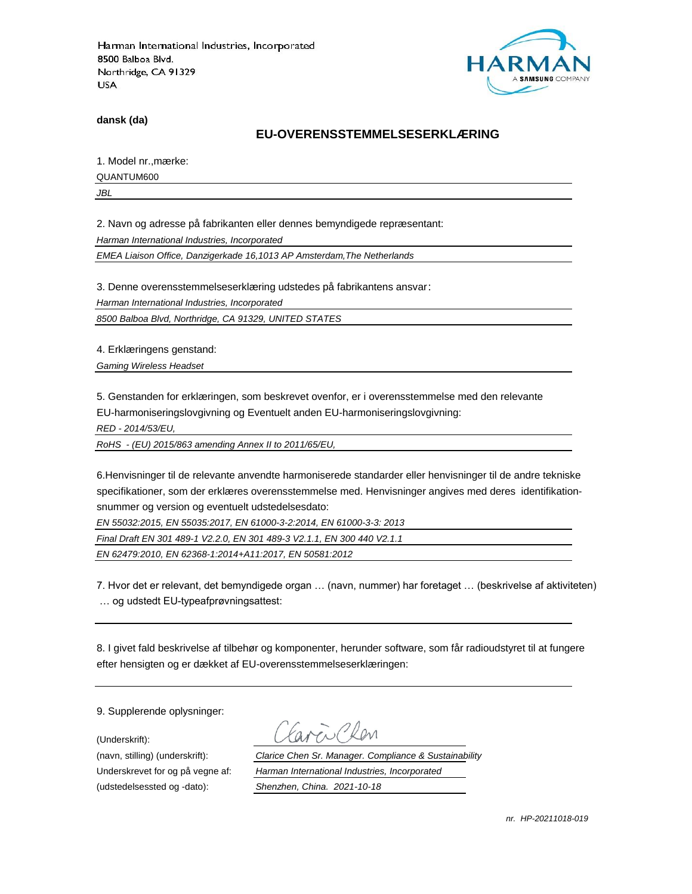

**dansk (da)**

#### **EU-OVERENSSTEMMELSESERKLÆ RING**

1. Model nr., mærke:

QUANTUM600

*JBL*

2. Navn og adresse på fabrikanten eller dennes bemyndigede repræ sentant:

*Harman International Industries, Incorporated*

*EMEA Liaison Office, Danzigerkade 16,1013 AP Amsterdam,The Netherlands*

3. Denne overensstemmelseserklæring udstedes på fabrikantens ansvar:

*Harman International Industries, Incorporated*

*8500 Balboa Blvd, Northridge, CA 91329, UNITED STATES*

4. Erklæringens genstand:

*Gaming Wireless Headset*

5. Genstanden for erklæringen, som beskrevet ovenfor, er i overensstemmelse med den relevante EU-harmoniseringslovgivning og Eventuelt anden EU-harmoniseringslovgivning:

*RED - 2014/53/EU,*

*RoHS - (EU) 2015/863 amending Annex II to 2011/65/EU,*

6.Henvisninger til de relevante anvendte harmoniserede standarder eller henvisninger til de andre tekniske specifikationer, som der erklæres overensstemmelse med. Henvisninger angives med deres identifikationsnummer og version og eventuelt udstedelsesdato:

*EN 55032:2015, EN 55035:2017, EN 61000-3-2:2014, EN 61000-3-3: 2013*

*Final Draft EN 301 489-1 V2.2.0, EN 301 489-3 V2.1.1, EN 300 440 V2.1.1*

*EN 62479:2010, EN 62368-1:2014+A11:2017, EN 50581:2012*

7. Hvor det er relevant, det bemyndigede organ … (navn, nummer) har foretaget … (beskrivelse af aktiviteten) … og udstedt EU-typeafprøvningsattest:

8. I givet fald beskrivelse af tilbehør og komponenter, herunder software, som får radioudstyret til at fungere efter hensigten og er dækket af EU-overensstemmelseserklæringen:

9. Supplerende oplysninger:

(Underskrift):

(udstedelsessted og -dato): *Shenzhen, China. 2021-10-18*

(navn, stilling) (underskrift): *Clarice Chen Sr. Manager. Compliance & Sustainability* Underskrevet for og på vegne af: *Harman International Industries, Incorporated*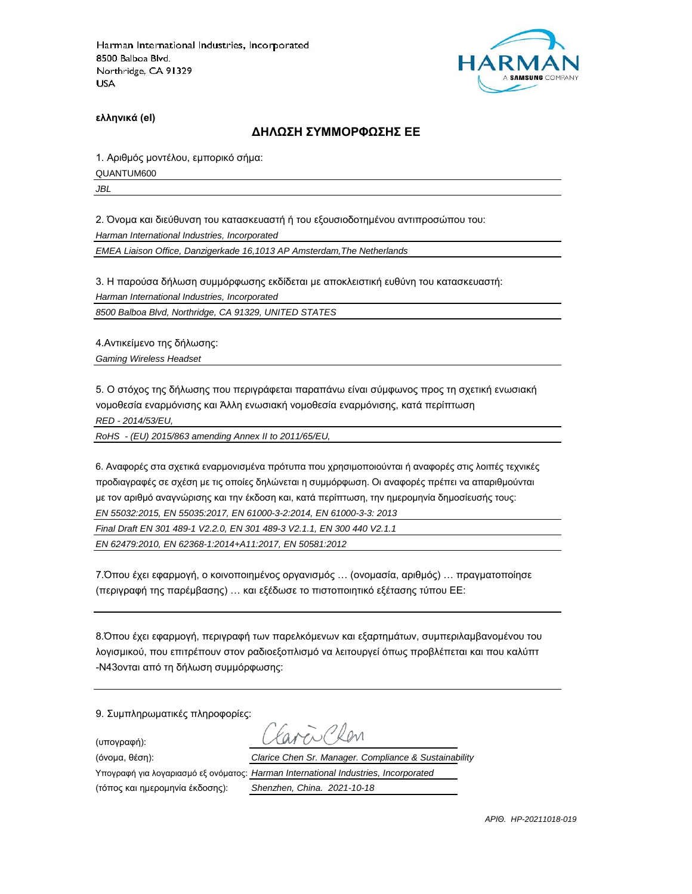

**ελληνικά (el)**

#### **ΔΗΛΩΣΗ ΣΥΜΜΟΡΦΩΣΗΣ ΕΕ**

1. Αριθμός μοντέλου, εμπορικό σήμα:

QUANTUM600

*JBL*

2. Όνομα και διεύθυνση του κατασκευαστή ή του εξουσιοδοτημένου αντιπροσώπου του:

*Harman International Industries, Incorporated*

*EMEA Liaison Office, Danzigerkade 16,1013 AP Amsterdam,The Netherlands*

3. Η παρούσα δήλωση συμμόρφωσης εκδίδεται με αποκλειστική ευθύνη του κατασκευαστή:

*Harman International Industries, Incorporated*

*8500 Balboa Blvd, Northridge, CA 91329, UNITED STATES*

4.Αντικείμενο της δήλωσης:

*Gaming Wireless Headset*

5. Ο στόχος της δήλωσης που περιγράφεται παραπάνω είναι σύμφωνος προς τη σχετική ενωσιακή νομοθεσία εναρμόνισης και Άλλη ενωσιακή νομοθεσία εναρμόνισης, κατά περίπτωση

*RED - 2014/53/EU,*

*RoHS - (EU) 2015/863 amending Annex II to 2011/65/EU,*

6. Αναφορές στα σχετικά εναρμονισμένα πρότυπα που χρησιμοποιούνται ή αναφορές στις λοιπές τεχνικές προδιαγραφές σε σχέση με τις οποίες δηλώνεται η συμμόρφωση. Οι αναφορές πρέπει να απαριθμούνται με τον αριθμό αναγνώρισης και την έκδοση και, κατά περίπτωση, την ημερομηνία δημοσίευσής τους: *EN 55032:2015, EN 55035:2017, EN 61000-3-2:2014, EN 61000-3-3: 2013*

*Final Draft EN 301 489-1 V2.2.0, EN 301 489-3 V2.1.1, EN 300 440 V2.1.1*

*EN 62479:2010, EN 62368-1:2014+A11:2017, EN 50581:2012*

7.Όπου έχει εφαρμογή, ο κοινοποιημένος οργανισμός … (ονομασία, αριθμός) … πραγματοποίησε (περιγραφή της παρέμβασης) … και εξέδωσε το πιστοποιητικό εξέτασης τύπου ΕΕ:

8.Όπου έχει εφαρμογή, περιγραφή των παρελκόμενων και εξαρτημάτων, συμπεριλαμβανομένου του λογισμικού, που επιτρέπουν στον ραδιοεξοπλισμό να λειτουργεί όπως προβλέπεται και που καλύπτ -N43ονται από τη δήλωση συμμόρφωσης:

9. Συμπληρωματικές πληροφορίες:

(υπογραφή):

(τόπος και ημερομηνία έκδοσης): *Shenzhen, China. 2021-10-18*

ww Ron (όνομα, θέση): *Clarice Chen Sr. Manager. Compliance & Sustainability* Υπογραφή για λογαριασμό εξ ονόματος: *Harman International Industries, Incorporated*

*ΑΡΙΘ. HP-20211018-019*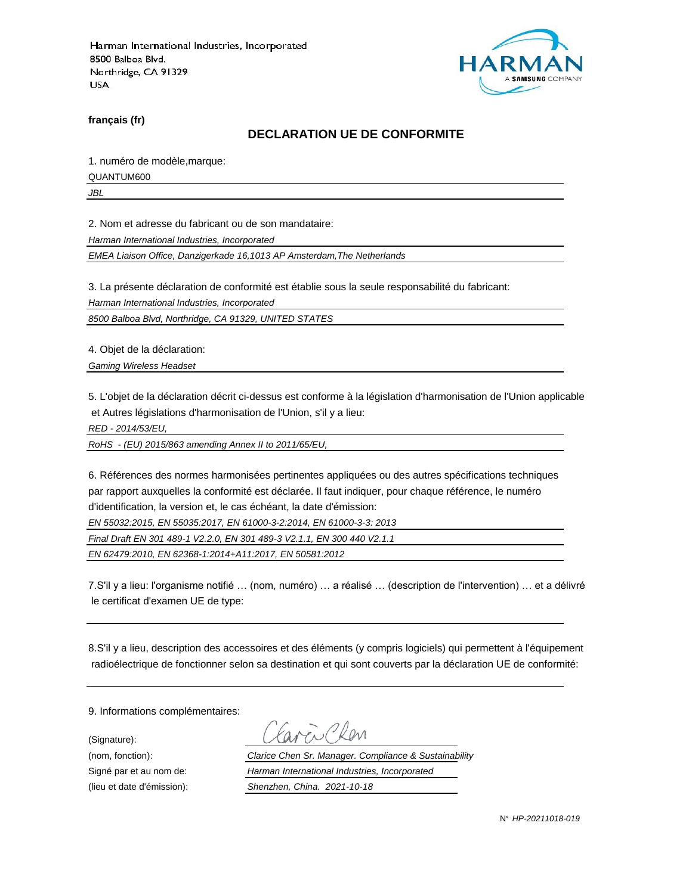

**français (fr)**

### **DECLARATION UE DE CONFORMITE**

1. numéro de modèle,marque:

QUANTUM600

*JBL*

2. Nom et adresse du fabricant ou de son mandataire:

*Harman International Industries, Incorporated*

*EMEA Liaison Office, Danzigerkade 16,1013 AP Amsterdam,The Netherlands*

3. La présente déclaration de conformité est établie sous la seule responsabilité du fabricant:

*Harman International Industries, Incorporated*

*8500 Balboa Blvd, Northridge, CA 91329, UNITED STATES*

4. Objet de la déclaration:

*Gaming Wireless Headset*

5. L'objet de la déclaration décrit ci-dessus est conforme à la législation d'harmonisation de l'Union applicable et Autres législations d'harmonisation de l'Union, s'il y a lieu:

*RED - 2014/53/EU,*

*RoHS - (EU) 2015/863 amending Annex II to 2011/65/EU,*

6. Références des normes harmonisées pertinentes appliquées ou des autres spécifications techniques par rapport auxquelles la conformité est déclarée. Il faut indiquer, pour chaque référence, le numéro d'identification, la version et, le cas échéant, la date d'émission:

*EN 55032:2015, EN 55035:2017, EN 61000-3-2:2014, EN 61000-3-3: 2013*

*Final Draft EN 301 489-1 V2.2.0, EN 301 489-3 V2.1.1, EN 300 440 V2.1.1*

*EN 62479:2010, EN 62368-1:2014+A11:2017, EN 50581:2012*

7.S'il y a lieu: l'organisme notifié … (nom, numéro) … a réalisé … (description de l'intervention) … et a délivré le certificat d'examen UE de type:

8.S'il y a lieu, description des accessoires et des éléments (y compris logiciels) qui permettent à l'équipement radioélectrique de fonctionner selon sa destination et qui sont couverts par la déclaration UE de conformité:

9. Informations complémentaires:

(Signature):

(nom, fonction): *Clarice Chen Sr. Manager. Compliance & Sustainability* Signé par et au nom de: *Harman International Industries, Incorporated* (lieu et date d'émission): *Shenzhen, China. 2021-10-18*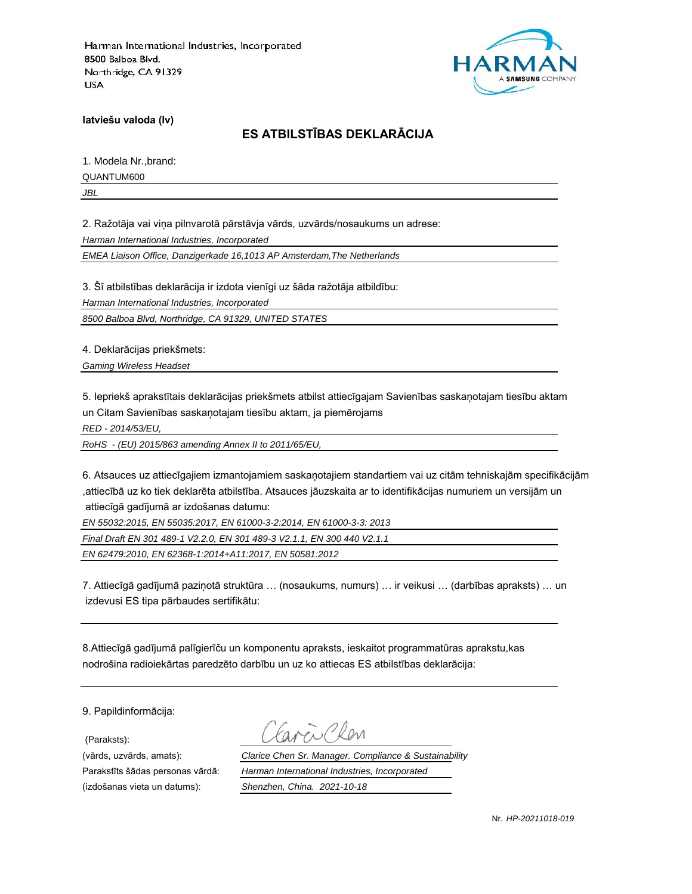

**latviešu valoda (lv)**

## **ES ATBILSTĪBAS DEKLARĀCIJA**

1. Modela Nr.,brand:

QUANTUM600

*JBL*

2. Ražotāja vai viņa pilnvarotā pārstāvja vārds, uzvārds/nosaukums un adrese:

*Harman International Industries, Incorporated*

*EMEA Liaison Office, Danzigerkade 16,1013 AP Amsterdam,The Netherlands*

3. Šī atbilstības deklarācija ir izdota vienīgi uz šāda ražotāja atbildību:

*Harman International Industries, Incorporated*

*8500 Balboa Blvd, Northridge, CA 91329, UNITED STATES*

4. Deklarācijas priekšmets:

*Gaming Wireless Headset*

5. Iepriekš aprakstītais deklarācijas priekšmets atbilst attiecīgajam Savienības saskaņotajam tiesību aktam un Citam Savienības saskaņotajam tiesību aktam, ja piemērojams

*RED - 2014/53/EU,*

*RoHS - (EU) 2015/863 amending Annex II to 2011/65/EU,*

6. Atsauces uz attiecīgajiem izmantojamiem saskaņotajiem standartiem vai uz citām tehniskajām specifikācijām ,attiecībā uz ko tiek deklarēta atbilstība. Atsauces jāuzskaita ar to identifikācijas numuriem un versijām un attiecīgā gadījumā ar izdošanas datumu:

*EN 55032:2015, EN 55035:2017, EN 61000-3-2:2014, EN 61000-3-3: 2013*

*Final Draft EN 301 489-1 V2.2.0, EN 301 489-3 V2.1.1, EN 300 440 V2.1.1*

*EN 62479:2010, EN 62368-1:2014+A11:2017, EN 50581:2012*

7. Attiecīgā gadījumā paziņotā struktūra … (nosaukums, numurs) … ir veikusi … (darbības apraksts) … un izdevusi ES tipa pārbaudes sertifikātu:

8.Attiecīgā gadījumā palīgierīču un komponentu apraksts, ieskaitot programmatūras aprakstu,kas nodrošina radioiekārtas paredzēto darbību un uz ko attiecas ES atbilstības deklarācija:

9. Papildinformācija:

(Paraksts):

(vārds, uzvārds, amats): *Clarice Chen Sr. Manager. Compliance & Sustainability* Parakstīts šādas personas vārdā: *Harman International Industries, Incorporated* (izdošanas vieta un datums): *Shenzhen, China. 2021-10-18*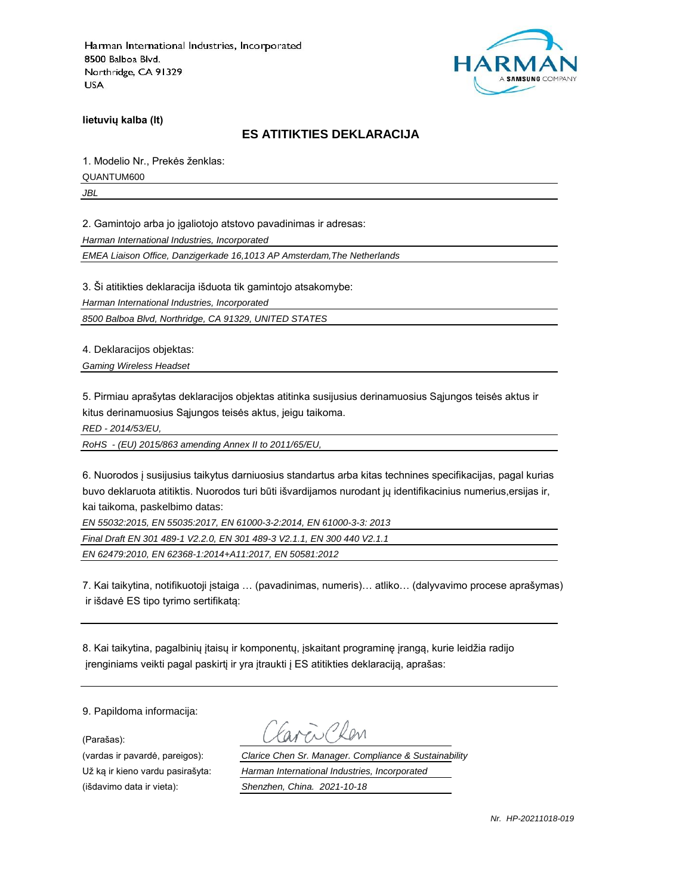

**lietuvių kalba (lt)**

#### **ES ATITIKTIES DEKLARACIJA**

1. Modelio Nr., Prekės ženklas:

QUANTUM600

*JBL*

2. Gamintojo arba jo įgaliotojo atstovo pavadinimas ir adresas:

*Harman International Industries, Incorporated*

*EMEA Liaison Office, Danzigerkade 16,1013 AP Amsterdam,The Netherlands*

3. Ši atitikties deklaracija išduota tik gamintojo atsakomybe:

*Harman International Industries, Incorporated*

*8500 Balboa Blvd, Northridge, CA 91329, UNITED STATES*

4. Deklaracijos objektas:

*Gaming Wireless Headset*

5. Pirmiau aprašytas deklaracijos objektas atitinka susijusius derinamuosius Sąjungos teisės aktus ir kitus derinamuosius Sąjungos teisės aktus, jeigu taikoma.

*RED - 2014/53/EU,*

*RoHS - (EU) 2015/863 amending Annex II to 2011/65/EU,*

6. Nuorodos į susijusius taikytus darniuosius standartus arba kitas technines specifikacijas, pagal kurias buvo deklaruota atitiktis. Nuorodos turi būti išvardijamos nurodant jų identifikacinius numerius,ersijas ir, kai taikoma, paskelbimo datas:

*EN 55032:2015, EN 55035:2017, EN 61000-3-2:2014, EN 61000-3-3: 2013*

*Final Draft EN 301 489-1 V2.2.0, EN 301 489-3 V2.1.1, EN 300 440 V2.1.1*

*EN 62479:2010, EN 62368-1:2014+A11:2017, EN 50581:2012*

7. Kai taikytina, notifikuotoji įstaiga … (pavadinimas, numeris)… atliko… (dalyvavimo procese aprašymas) ir išdavė ES tipo tyrimo sertifikatą:

8. Kai taikytina, pagalbinių įtaisų ir komponentų, įskaitant programinę įrangą, kurie leidžia radijo įrenginiams veikti pagal paskirtį ir yra įtraukti į ES atitikties deklaraciją, aprašas:

9. Papildoma informacija:

(Parašas):

(vardas ir pavardė, pareigos): *Clarice Chen Sr. Manager. Compliance & Sustainability* Už ką ir kieno vardu pasirašyta: *Harman International Industries, Incorporated* (išdavimo data ir vieta): *Shenzhen, China. 2021-10-18*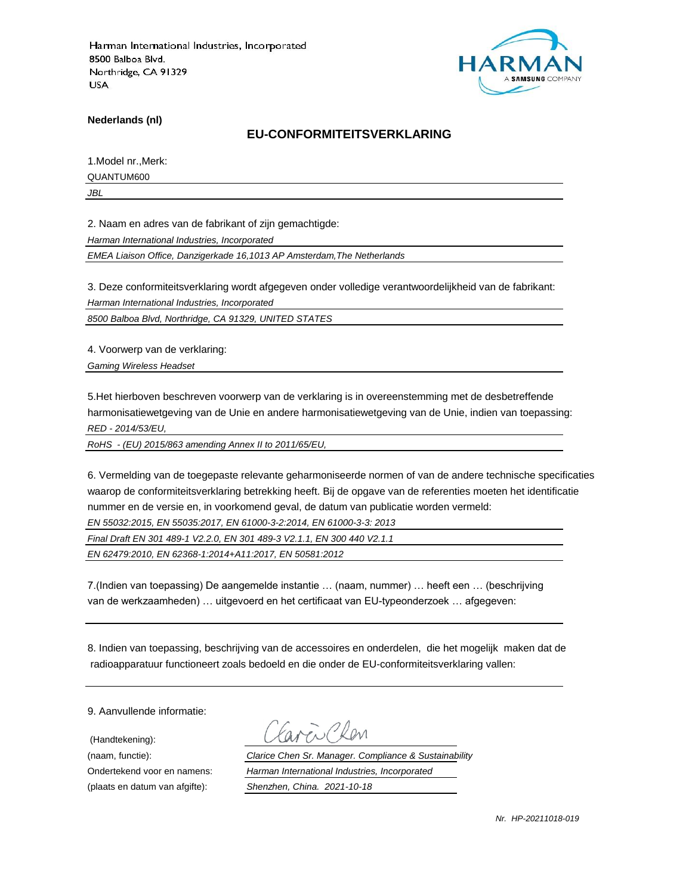

**Nederlands (nl)**

#### **EU-CONFORMITEITSVERKLARING**

1.Model nr.,Merk:

QUANTUM600

*JBL*

2. Naam en adres van de fabrikant of zijn gemachtigde:

*Harman International Industries, Incorporated*

*EMEA Liaison Office, Danzigerkade 16,1013 AP Amsterdam,The Netherlands*

3. Deze conformiteitsverklaring wordt afgegeven onder volledige verantwoordelijkheid van de fabrikant:

*Harman International Industries, Incorporated*

*8500 Balboa Blvd, Northridge, CA 91329, UNITED STATES*

4. Voorwerp van de verklaring:

*Gaming Wireless Headset*

5.Het hierboven beschreven voorwerp van de verklaring is in overeenstemming met de desbetreffende harmonisatiewetgeving van de Unie en andere harmonisatiewetgeving van de Unie, indien van toepassing: *RED - 2014/53/EU,*

*RoHS - (EU) 2015/863 amending Annex II to 2011/65/EU,*

6. Vermelding van de toegepaste relevante geharmoniseerde normen of van de andere technische specificaties waarop de conformiteitsverklaring betrekking heeft. Bij de opgave van de referenties moeten het identificatie nummer en de versie en, in voorkomend geval, de datum van publicatie worden vermeld:

*EN 55032:2015, EN 55035:2017, EN 61000-3-2:2014, EN 61000-3-3: 2013*

*Final Draft EN 301 489-1 V2.2.0, EN 301 489-3 V2.1.1, EN 300 440 V2.1.1*

*EN 62479:2010, EN 62368-1:2014+A11:2017, EN 50581:2012*

7.(Indien van toepassing) De aangemelde instantie … (naam, nummer) … heeft een … (beschrijving van de werkzaamheden) … uitgevoerd en het certificaat van EU-typeonderzoek … afgegeven:

8. Indien van toepassing, beschrijving van de accessoires en onderdelen, die het mogelijk maken dat de radioapparatuur functioneert zoals bedoeld en die onder de EU-conformiteitsverklaring vallen:

9. Aanvullende informatie:

(Handtekening):

(naam, functie): *Clarice Chen Sr. Manager. Compliance & Sustainability* Ondertekend voor en namens: *Harman International Industries, Incorporated* (plaats en datum van afgifte): *Shenzhen, China. 2021-10-18*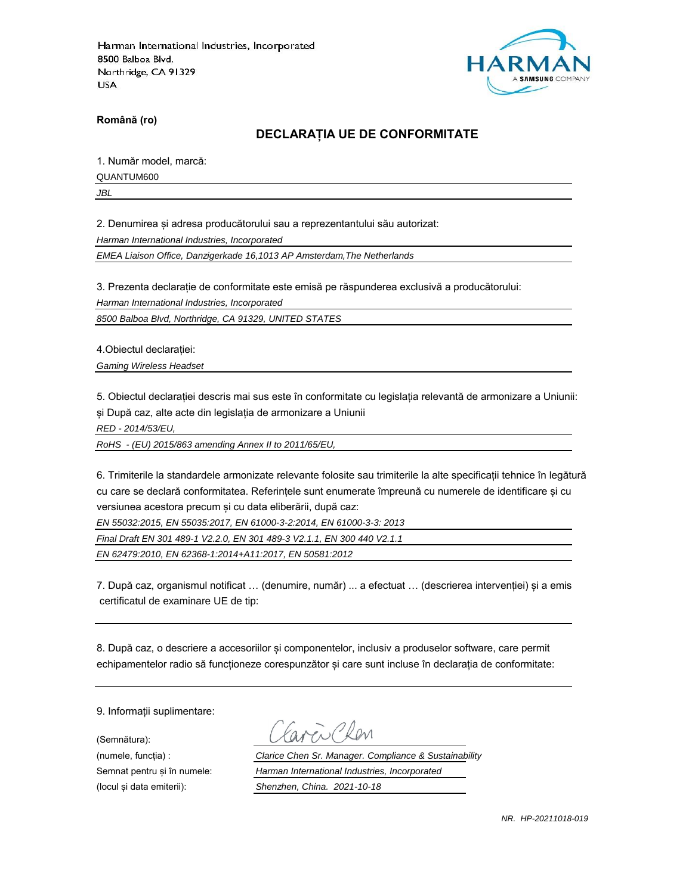

**Română (ro)**

## **DECLARAȚIA UE DE CONFORMITATE**

1. Număr model, marcă:

QUANTUM600

*JBL*

2. Denumirea și adresa producătorului sau a reprezentantului său autorizat:

*Harman International Industries, Incorporated*

*EMEA Liaison Office, Danzigerkade 16,1013 AP Amsterdam,The Netherlands*

3. Prezenta declarație de conformitate este emisă pe răspunderea exclusivă a producătorului:

*Harman International Industries, Incorporated*

*8500 Balboa Blvd, Northridge, CA 91329, UNITED STATES*

4.Obiectul declarației:

*Gaming Wireless Headset*

5. Obiectul declarației descris mai sus este în conformitate cu legislația relevantă de armonizare a Uniunii: și După caz, alte acte din legislația de armonizare a Uniunii

*RED - 2014/53/EU,*

*RoHS - (EU) 2015/863 amending Annex II to 2011/65/EU,*

6. Trimiterile la standardele armonizate relevante folosite sau trimiterile la alte specificații tehnice în legătură cu care se declară conformitatea. Referințele sunt enumerate împreună cu numerele de identificare și cu versiunea acestora precum și cu data eliberării, după caz:

*EN 55032:2015, EN 55035:2017, EN 61000-3-2:2014, EN 61000-3-3: 2013*

*Final Draft EN 301 489-1 V2.2.0, EN 301 489-3 V2.1.1, EN 300 440 V2.1.1*

*EN 62479:2010, EN 62368-1:2014+A11:2017, EN 50581:2012*

7. După caz, organismul notificat … (denumire, număr) ... a efectuat … (descrierea intervenției) și a emis certificatul de examinare UE de tip:

8. După caz, o descriere a accesoriilor și componentelor, inclusiv a produselor software, care permit echipamentelor radio să funcționeze corespunzător și care sunt incluse în declarația de conformitate:

9. Informații suplimentare:

(Semnătura):

(numele, funcția) : *Clarice Chen Sr. Manager. Compliance & Sustainability* Semnat pentru și în numele: *Harman International Industries, Incorporated* (locul și data emiterii): *Shenzhen, China. 2021-10-18*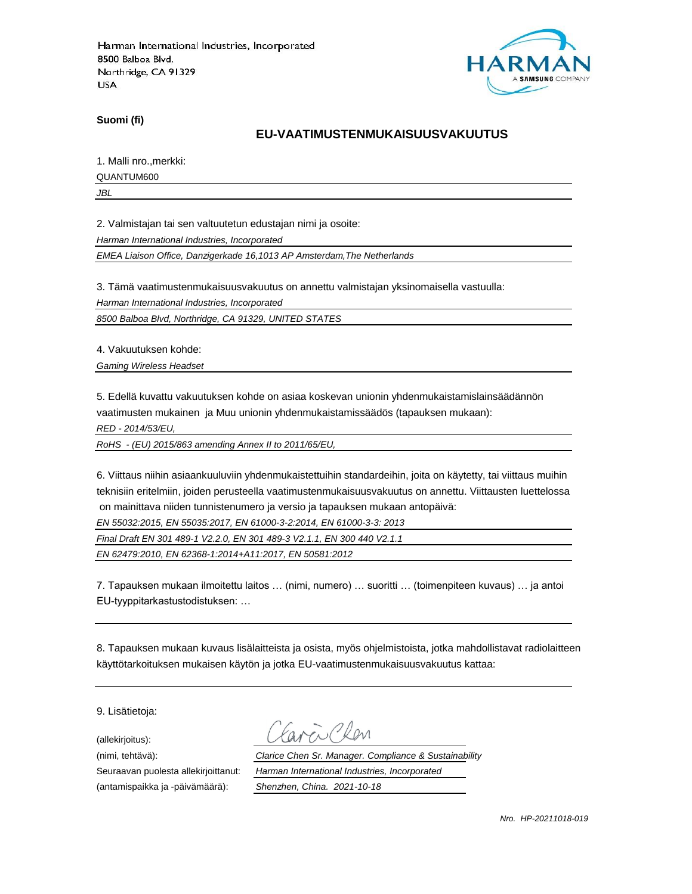

**Suomi (fi)**

### **EU-VAATIMUSTENMUKAISUUSVAKUUTUS**

1. Malli nro.,merkki:

QUANTUM600

*JBL*

2. Valmistajan tai sen valtuutetun edustajan nimi ja osoite:

*Harman International Industries, Incorporated*

*EMEA Liaison Office, Danzigerkade 16,1013 AP Amsterdam,The Netherlands*

3. Tämä vaatimustenmukaisuusvakuutus on annettu valmistajan yksinomaisella vastuulla:

*Harman International Industries, Incorporated*

*8500 Balboa Blvd, Northridge, CA 91329, UNITED STATES*

4. Vakuutuksen kohde:

*Gaming Wireless Headset*

5. Edellä kuvattu vakuutuksen kohde on asiaa koskevan unionin yhdenmukaistamislainsäädännön vaatimusten mukainen ja Muu unionin yhdenmukaistamissäädös (tapauksen mukaan):

*RED - 2014/53/EU,*

*RoHS - (EU) 2015/863 amending Annex II to 2011/65/EU,*

6. Viittaus niihin asiaankuuluviin yhdenmukaistettuihin standardeihin, joita on käytetty, tai viittaus muihin teknisiin eritelmiin, joiden perusteella vaatimustenmukaisuusvakuutus on annettu. Viittausten luettelossa on mainittava niiden tunnistenumero ja versio ja tapauksen mukaan antopäivä:

*EN 55032:2015, EN 55035:2017, EN 61000-3-2:2014, EN 61000-3-3: 2013*

*Final Draft EN 301 489-1 V2.2.0, EN 301 489-3 V2.1.1, EN 300 440 V2.1.1*

*EN 62479:2010, EN 62368-1:2014+A11:2017, EN 50581:2012*

7. Tapauksen mukaan ilmoitettu laitos … (nimi, numero) … suoritti … (toimenpiteen kuvaus) … ja antoi EU-tyyppitarkastustodistuksen: …

8. Tapauksen mukaan kuvaus lisälaitteista ja osista, myös ohjelmistoista, jotka mahdollistavat radiolaitteen käyttötarkoituksen mukaisen käytön ja jotka EU-vaatimustenmukaisuusvakuutus kattaa:

9. Lisätietoja:

(allekirjoitus):

(antamispaikka ja -päivämäärä): *Shenzhen, China. 2021-10-18*

(nimi, tehtävä): *Clarice Chen Sr. Manager. Compliance & Sustainability* Seuraavan puolesta allekirjoittanut: *Harman International Industries, Incorporated*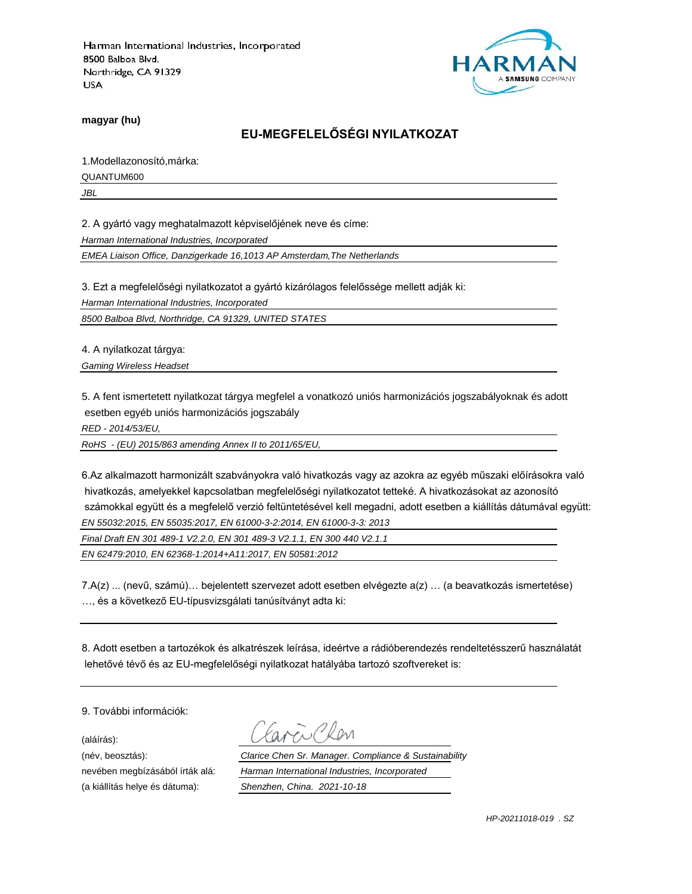

**magyar (hu)**

## **EU-MEGFELELŐSÉGI NYILATKOZAT**

1.Modellazonosító,márka:

QUANTUM600

*JBL*

2. A gyártó vagy meghatalmazott képviselőjének neve és címe:

*Harman International Industries, Incorporated*

*EMEA Liaison Office, Danzigerkade 16,1013 AP Amsterdam,The Netherlands*

3. Ezt a megfelelőségi nyilatkozatot a gyártó kizárólagos felelőssége mellett adják ki:

*Harman International Industries, Incorporated*

*8500 Balboa Blvd, Northridge, CA 91329, UNITED STATES*

4. A nyilatkozat tárgya:

*Gaming Wireless Headset*

5. A fent ismertetett nyilatkozat tárgya megfelel a vonatkozó uniós harmonizációs jogszabályoknak és adott esetben egyéb uniós harmonizációs jogszabály

*RED - 2014/53/EU,*

*RoHS - (EU) 2015/863 amending Annex II to 2011/65/EU,*

6.Az alkalmazott harmonizált szabványokra való hivatkozás vagy az azokra az egyéb műszaki előírásokra való hivatkozás, amelyekkel kapcsolatban megfelelőségi nyilatkozatot tetteké. A hivatkozásokat az azonosító számokkal együtt és a megfelelő verzió feltüntetésével kell megadni, adott esetben a kiállítás dátumával együtt: *EN 55032:2015, EN 55035:2017, EN 61000-3-2:2014, EN 61000-3-3: 2013*

*Final Draft EN 301 489-1 V2.2.0, EN 301 489-3 V2.1.1, EN 300 440 V2.1.1*

*EN 62479:2010, EN 62368-1:2014+A11:2017, EN 50581:2012*

7.A(z) ... (nevű, számú)… bejelentett szervezet adott esetben elvégezte a(z) … (a beavatkozás ismertetése) …, és a következő EU-típusvizsgálati tanúsítványt adta ki:

8. Adott esetben a tartozékok és alkatrészek leírása, ideértve a rádióberendezés rendeltetésszerű használatát lehetővé tévő és az EU-megfelelőségi nyilatkozat hatályába tartozó szoftvereket is:

9. További információk:

(aláírás):

(név, beosztás): *Clarice Chen Sr. Manager. Compliance & Sustainability* nevében megbízásából írták alá: *Harman International Industries, Incorporated* (a kiállítás helye és dátuma): *Shenzhen, China. 2021-10-18*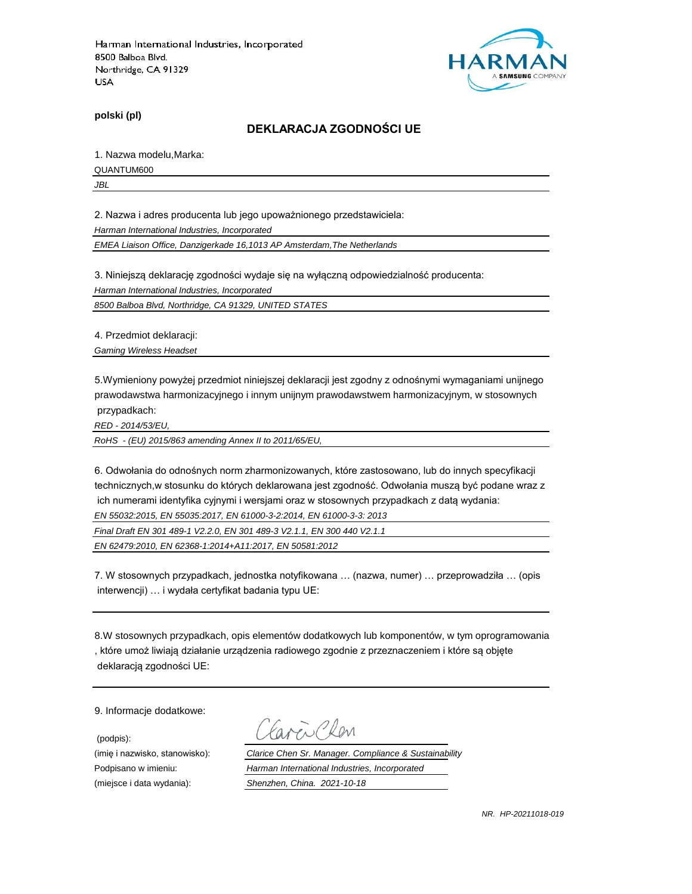

**polski (pl)**

#### **DEKLARACJA ZGODNOŚCI UE**

1. Nazwa modelu,Marka:

QUANTUM600

*JBL*

2. Nazwa i adres producenta lub jego upoważnionego przedstawiciela:

*Harman International Industries, Incorporated*

*EMEA Liaison Office, Danzigerkade 16,1013 AP Amsterdam,The Netherlands*

3. Niniejszą deklarację zgodności wydaje się na wyłączną odpowiedzialność producenta:

*Harman International Industries, Incorporated*

*8500 Balboa Blvd, Northridge, CA 91329, UNITED STATES*

4. Przedmiot deklaracji:

*Gaming Wireless Headset*

5.Wymieniony powyżej przedmiot niniejszej deklaracji jest zgodny z odnośnymi wymaganiami unijnego prawodawstwa harmonizacyjnego i innym unijnym prawodawstwem harmonizacyjnym, w stosownych przypadkach:

*RED - 2014/53/EU,*

*RoHS - (EU) 2015/863 amending Annex II to 2011/65/EU,*

6. Odwołania do odnośnych norm zharmonizowanych, które zastosowano, lub do innych specyfikacji technicznych,w stosunku do których deklarowana jest zgodność. Odwołania muszą być podane wraz z ich numerami identyfika cyjnymi i wersjami oraz w stosownych przypadkach z datą wydania:

*EN 55032:2015, EN 55035:2017, EN 61000-3-2:2014, EN 61000-3-3: 2013*

*Final Draft EN 301 489-1 V2.2.0, EN 301 489-3 V2.1.1, EN 300 440 V2.1.1*

*EN 62479:2010, EN 62368-1:2014+A11:2017, EN 50581:2012*

7. W stosownych przypadkach, jednostka notyfikowana … (nazwa, numer) … przeprowadziła … (opis interwencji) … i wydała certyfikat badania typu UE:

8.W stosownych przypadkach, opis elementów dodatkowych lub komponentów, w tym oprogramowania , które umoż liwiają działanie urządzenia radiowego zgodnie z przeznaczeniem i które są objęte deklaracją zgodności UE:

9. Informacje dodatkowe:

(podpis):

 $\sum$ Plan

(imię i nazwisko, stanowisko): *Clarice Chen Sr. Manager. Compliance & Sustainability* Podpisano w imieniu: *Harman International Industries, Incorporated* (miejsce i data wydania): *Shenzhen, China. 2021-10-18*

*NR. HP-20211018-019*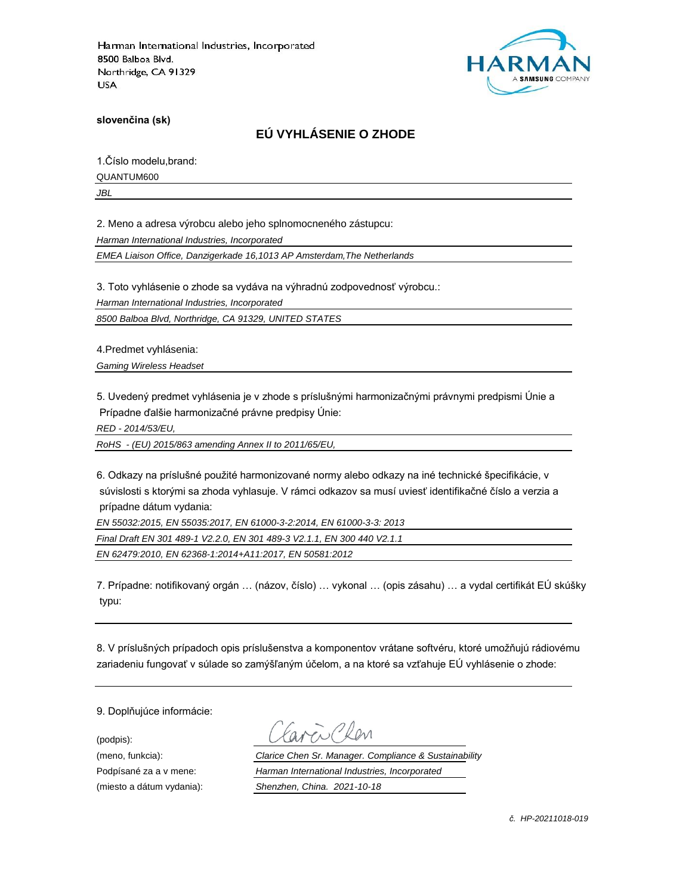

**slovenčina (sk)**

## **EÚ VYHLÁSENIE O ZHODE**

1.Číslo modelu,brand:

QUANTUM600

*JBL*

2. Meno a adresa výrobcu alebo jeho splnomocneného zástupcu:

*Harman International Industries, Incorporated*

*EMEA Liaison Office, Danzigerkade 16,1013 AP Amsterdam,The Netherlands*

3. Toto vyhlásenie o zhode sa vydáva na výhradnú zodpovednosť výrobcu.:

*Harman International Industries, Incorporated*

*8500 Balboa Blvd, Northridge, CA 91329, UNITED STATES*

4.Predmet vyhlásenia:

*Gaming Wireless Headset*

5. Uvedený predmet vyhlásenia je v zhode s príslušnými harmonizačnými právnymi predpismi Únie a Prípadne ďalšie harmonizačné právne predpisy Únie:

*RED - 2014/53/EU,*

*RoHS - (EU) 2015/863 amending Annex II to 2011/65/EU,*

6. Odkazy na príslušné použité harmonizované normy alebo odkazy na iné technické špecifikácie, v súvislosti s ktorými sa zhoda vyhlasuje. V rámci odkazov sa musí uviesť identifikačné číslo a verzia a prípadne dátum vydania:

*EN 55032:2015, EN 55035:2017, EN 61000-3-2:2014, EN 61000-3-3: 2013*

*Final Draft EN 301 489-1 V2.2.0, EN 301 489-3 V2.1.1, EN 300 440 V2.1.1*

*EN 62479:2010, EN 62368-1:2014+A11:2017, EN 50581:2012*

7. Prípadne: notifikovaný orgán … (názov, číslo) … vykonal … (opis zásahu) … a vydal certifikát EÚ skúšky typu:

8. V príslušných prípadoch opis príslušenstva a komponentov vrátane softvéru, ktoré umožňujú rádiovému zariadeniu fungovať v súlade so zamýšľaným účelom, a na ktoré sa vzťahuje EÚ vyhlásenie o zhode:

9. Doplňujúce informácie:

(podpis):

(meno, funkcia): *Clarice Chen Sr. Manager. Compliance & Sustainability* Podpísané za a v mene: *Harman International Industries, Incorporated* (miesto a dátum vydania): *Shenzhen, China. 2021-10-18*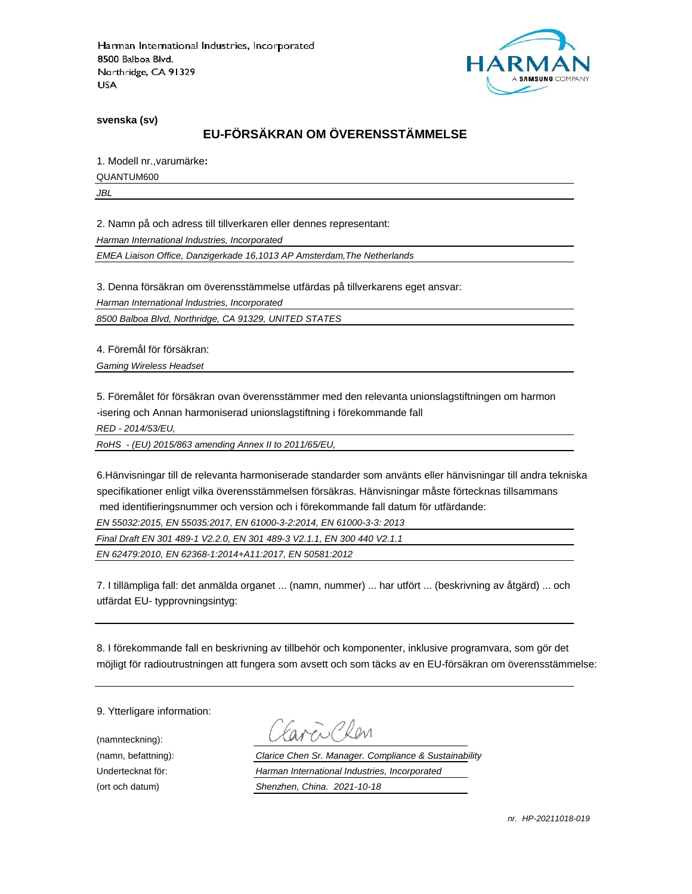

**svenska (sv)**

## **EU-FÖRSÄKRAN OM ÖVERENSSTÄMMELSE**

1. Modell nr.,varumärke**:**

QUANTUM600

*JBL*

2. Namn på och adress till tillverkaren eller dennes representant:

*Harman International Industries, Incorporated*

*EMEA Liaison Office, Danzigerkade 16,1013 AP Amsterdam,The Netherlands*

3. Denna försäkran om överensstämmelse utfärdas på tillverkarens eget ansvar:

*Harman International Industries, Incorporated*

*8500 Balboa Blvd, Northridge, CA 91329, UNITED STATES*

4. Föremål för försäkran:

*Gaming Wireless Headset*

5. Föremålet för försäkran ovan överensstämmer med den relevanta unionslagstiftningen om harmon -isering och Annan harmoniserad unionslagstiftning i förekommande fall

*RED - 2014/53/EU,*

*RoHS - (EU) 2015/863 amending Annex II to 2011/65/EU,*

6.Hänvisningar till de relevanta harmoniserade standarder som använts eller hänvisningar till andra tekniska specifikationer enligt vilka överensstämmelsen försäkras. Hänvisningar måste förtecknas tillsammans med identifieringsnummer och version och i förekommande fall datum för utfärdande:

*EN 55032:2015, EN 55035:2017, EN 61000-3-2:2014, EN 61000-3-3: 2013*

*Final Draft EN 301 489-1 V2.2.0, EN 301 489-3 V2.1.1, EN 300 440 V2.1.1*

*EN 62479:2010, EN 62368-1:2014+A11:2017, EN 50581:2012*

7. I tillämpliga fall: det anmälda organet ... (namn, nummer) ... har utfört ... (beskrivning av åtgärd) ... och utfärdat EU- typprovningsintyg:

8. I förekommande fall en beskrivning av tillbehör och komponenter, inklusive programvara, som gör det möjligt för radioutrustningen att fungera som avsett och som täcks av en EU-försäkran om överensstämmelse:

9. Ytterligare information:

(namnteckning):

EN Plen

(namn, befattning): *Clarice Chen Sr. Manager. Compliance & Sustainability* Undertecknat för: *Harman International Industries, Incorporated* (ort och datum) *Shenzhen, China. 2021-10-18*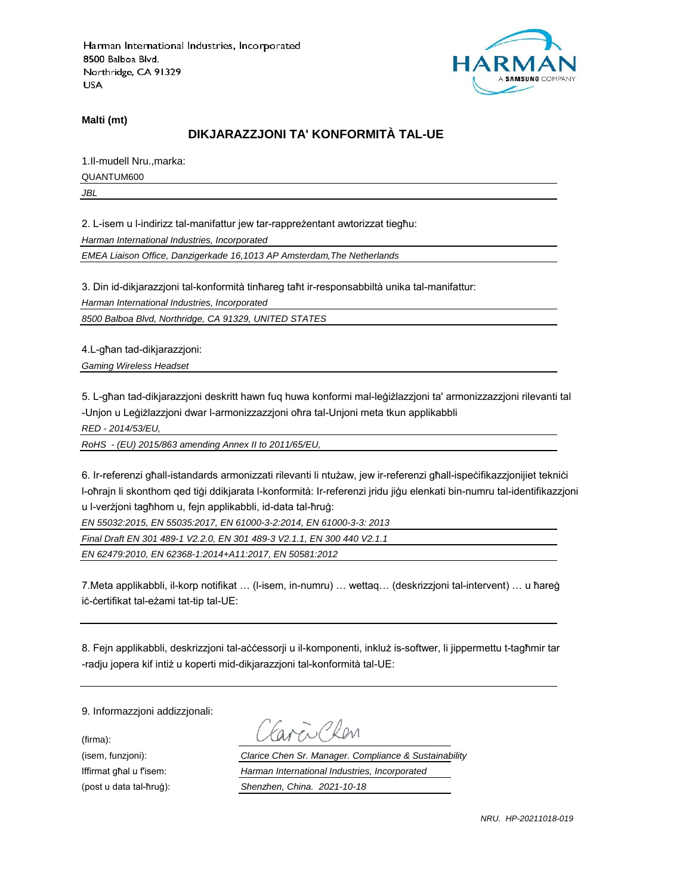

**Malti (mt)**

## **DIKJARAZZJONI TA' KONFORMITÀ TAL-UE**

1.Il-mudell Nru.,marka:

QUANTUM600

*JBL*

2. L-isem u l-indirizz tal-manifattur jew tar-rappreżentant awtorizzat tiegħu:

*Harman International Industries, Incorporated*

*EMEA Liaison Office, Danzigerkade 16,1013 AP Amsterdam,The Netherlands*

3. Din id-dikjarazzjoni tal-konformità tinħareg taħt ir-responsabbiltà unika tal-manifattur:

*Harman International Industries, Incorporated*

*8500 Balboa Blvd, Northridge, CA 91329, UNITED STATES*

4.L-għan tad-dikjarazzjoni:

*Gaming Wireless Headset*

5. L-għan tad-dikjarazzjoni deskritt hawn fuq huwa konformi mal-leġiżlazzjoni ta' armonizzazzjoni rilevanti tal -Unjon u Leġiżlazzjoni dwar l-armonizzazzjoni oħra tal-Unjoni meta tkun applikabbli

*RED - 2014/53/EU,*

*RoHS - (EU) 2015/863 amending Annex II to 2011/65/EU,*

6. Ir-referenzi għall-istandards armonizzati rilevanti li ntużaw, jew ir-referenzi għall-ispeċifikazzjonijiet tekniċi l-oħrajn li skonthom qed tiġi ddikjarata l-konformità: Ir-referenzi jridu jiġu elenkati bin-numru tal-identifikazzjoni u l-verżjoni tagħhom u, fejn applikabbli, id-data tal-ħruġ:

*EN 55032:2015, EN 55035:2017, EN 61000-3-2:2014, EN 61000-3-3: 2013*

*Final Draft EN 301 489-1 V2.2.0, EN 301 489-3 V2.1.1, EN 300 440 V2.1.1*

*EN 62479:2010, EN 62368-1:2014+A11:2017, EN 50581:2012*

7.Meta applikabbli, il-korp notifikat … (l-isem, in-numru) … wettaq… (deskrizzjoni tal-intervent) … u ħareġ iċ-ċertifikat tal-eżami tat-tip tal-UE:

8. Fejn applikabbli, deskrizzjoni tal-aċċessorji u il-komponenti, inkluż is-softwer, li jippermettu t-tagħmir tar -radju jopera kif intiż u koperti mid-dikjarazzjoni tal-konformità tal-UE:

9. Informazzjoni addizzjonali:

(firma):

EN CROM

(isem, funzjoni): *Clarice Chen Sr. Manager. Compliance & Sustainability* Iffirmat għal u f'isem: *Harman International Industries, Incorporated* (post u data tal-ħruġ): *Shenzhen, China. 2021-10-18*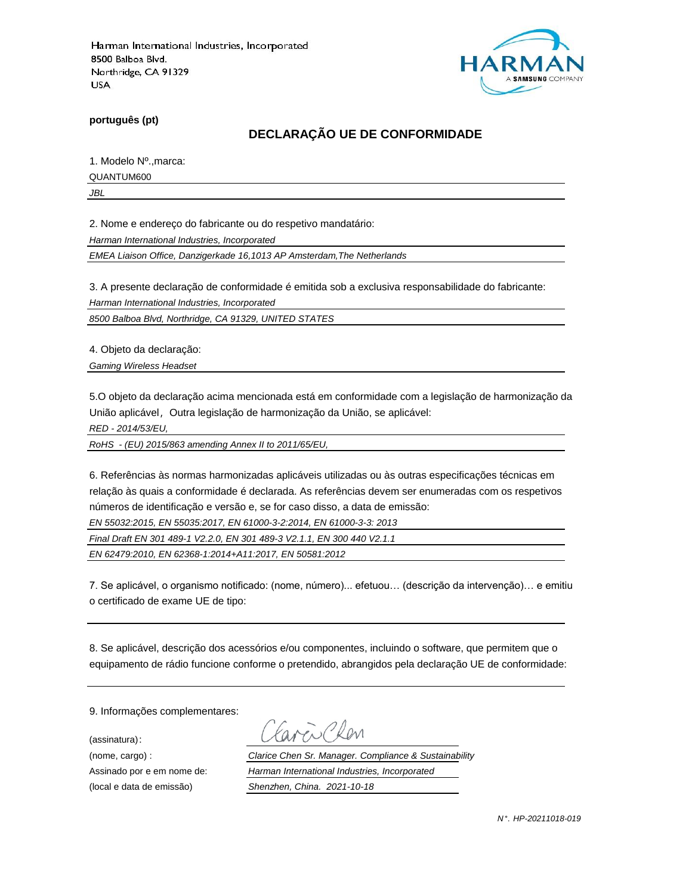

**português (pt)**

## **DECLARAÇÃO UE DE CONFORMIDADE**

1. Modelo Nº.,marca:

QUANTUM600

*JBL*

2. Nome e endereço do fabricante ou do respetivo mandatário:

*Harman International Industries, Incorporated*

*EMEA Liaison Office, Danzigerkade 16,1013 AP Amsterdam,The Netherlands*

3. A presente declaração de conformidade é emitida sob a exclusiva responsabilidade do fabricante:

*Harman International Industries, Incorporated*

*8500 Balboa Blvd, Northridge, CA 91329, UNITED STATES*

4. Objeto da declaração:

*Gaming Wireless Headset*

5.O objeto da declaração acima mencionada está em conformidade com a legislação de harmonização da União aplicável, Outra legislação de harmonização da União, se aplicável:

*RED - 2014/53/EU,*

*RoHS - (EU) 2015/863 amending Annex II to 2011/65/EU,*

6. Referências às normas harmonizadas aplicáveis utilizadas ou às outras especificações técnicas em relação às quais a conformidade é declarada. As referências devem ser enumeradas com os respetivos números de identificação e versão e, se for caso disso, a data de emissão:

*EN 55032:2015, EN 55035:2017, EN 61000-3-2:2014, EN 61000-3-3: 2013*

*Final Draft EN 301 489-1 V2.2.0, EN 301 489-3 V2.1.1, EN 300 440 V2.1.1*

*EN 62479:2010, EN 62368-1:2014+A11:2017, EN 50581:2012*

7. Se aplicável, o organismo notificado: (nome, número)... efetuou… (descrição da intervenção)… e emitiu o certificado de exame UE de tipo:

8. Se aplicável, descrição dos acessórios e/ou componentes, incluindo o software, que permitem que o equipamento de rádio funcione conforme o pretendido, abrangidos pela declaração UE de conformidade:

9. Informações complementares:

(assinatura):

ENPROM

(nome, cargo) : *Clarice Chen Sr. Manager. Compliance & Sustainability* Assinado por e em nome de: *Harman International Industries, Incorporated* (local e data de emissão) *Shenzhen, China. 2021-10-18*